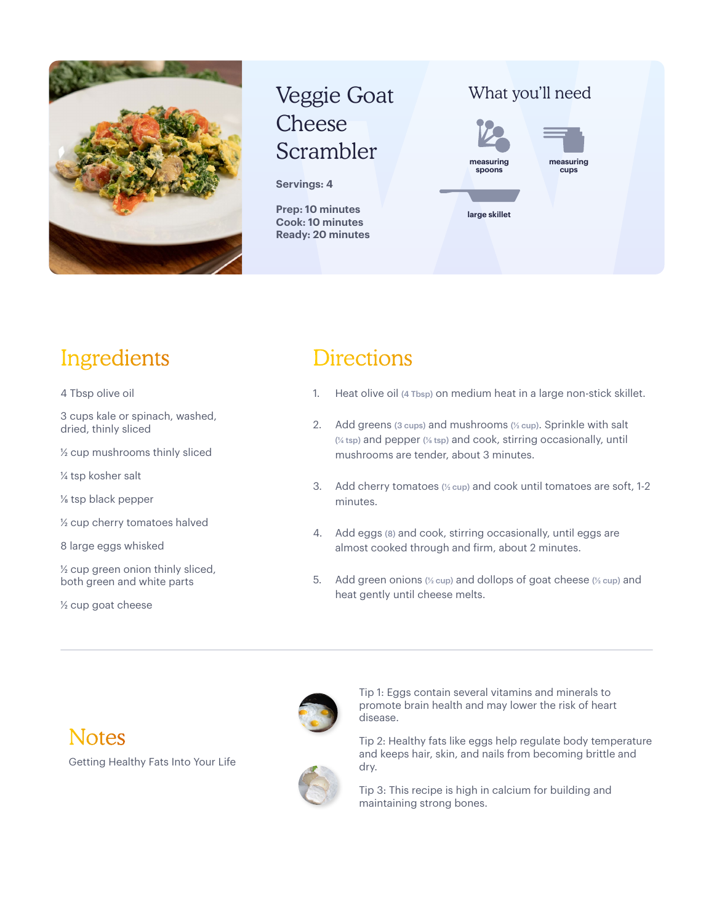

# Veggie Goat Cheese Scrambler

**Servings: 4**

**Prep: 10 minutes Cook: 10 minutes Ready: 20 minutes** What you'll need



## Ingredients

4 Tbsp olive oil

3 cups kale or spinach, washed, dried, thinly sliced

½ cup mushrooms thinly sliced

¼ tsp kosher salt

⅛ tsp black pepper

½ cup cherry tomatoes halved

8 large eggs whisked

½ cup green onion thinly sliced, both green and white parts

½ cup goat cheese

## **Directions**

- 1. Heat olive oil (4 Tbsp) on medium heat in a large non-stick skillet.
- 2. Add greens (3 cups) and mushrooms (½ cup). Sprinkle with salt (¼ tsp) and pepper (⅛ tsp) and cook, stirring occasionally, until mushrooms are tender, about 3 minutes.
- 3. Add cherry tomatoes  $(½ \text{cup})$  and cook until tomatoes are soft, 1-2 minutes.
- 4. Add eggs (8) and cook, stirring occasionally, until eggs are almost cooked through and firm, about 2 minutes.
- 5. Add green onions (½ cup) and dollops of goat cheese (½ cup) and heat gently until cheese melts.



Tip 1: Eggs contain several vitamins and minerals to promote brain health and may lower the risk of heart disease.

Tip 2: Healthy fats like eggs help regulate body temperature and keeps hair, skin, and nails from becoming brittle and dry.

Tip 3: This recipe is high in calcium for building and maintaining strong bones.

### **Notes**

Getting Healthy Fats Into Your Life